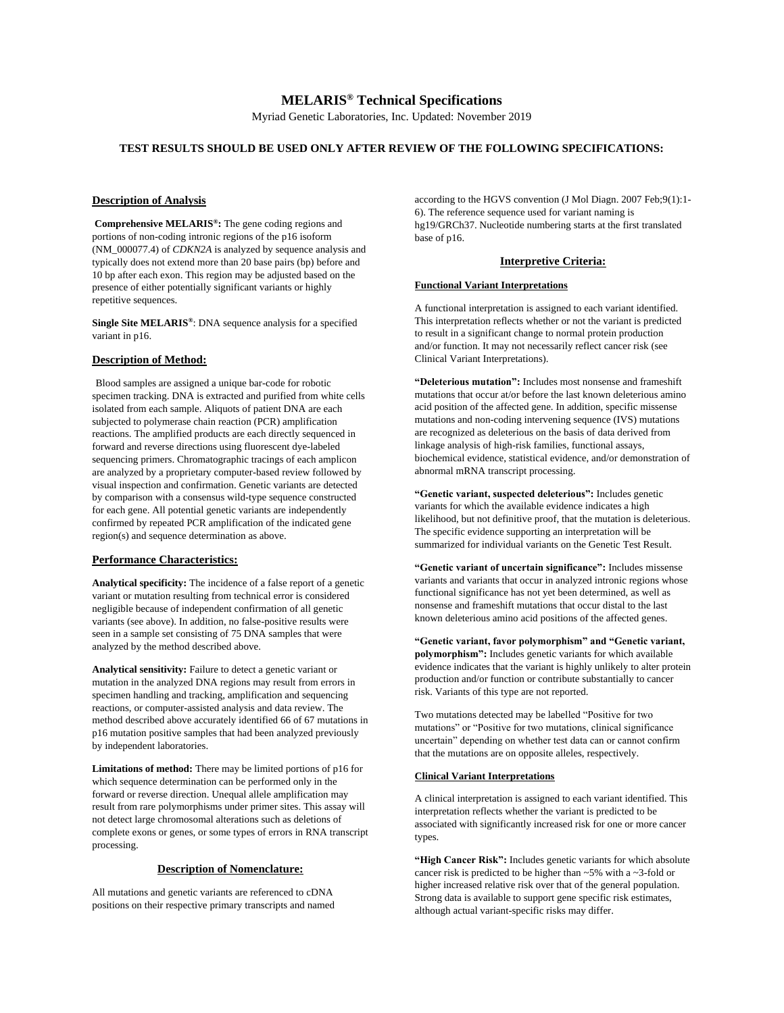Myriad Genetic Laboratories, Inc. Updated: November 2019

# **TEST RESULTS SHOULD BE USED ONLY AFTER REVIEW OF THE FOLLOWING SPECIFICATIONS:**

## **Description of Analysis**

**Comprehensive MELARIS® :** The gene coding regions and portions of non-coding intronic regions of the p16 isoform (NM\_000077.4) of *CDKN2A* is analyzed by sequence analysis and typically does not extend more than 20 base pairs (bp) before and 10 bp after each exon. This region may be adjusted based on the presence of either potentially significant variants or highly repetitive sequences.

**Single Site MELARIS®** : DNA sequence analysis for a specified variant in p16.

## **Description of Method:**

Blood samples are assigned a unique bar-code for robotic specimen tracking. DNA is extracted and purified from white cells isolated from each sample. Aliquots of patient DNA are each subjected to polymerase chain reaction (PCR) amplification reactions. The amplified products are each directly sequenced in forward and reverse directions using fluorescent dye-labeled sequencing primers. Chromatographic tracings of each amplicon are analyzed by a proprietary computer-based review followed by visual inspection and confirmation. Genetic variants are detected by comparison with a consensus wild-type sequence constructed for each gene. All potential genetic variants are independently confirmed by repeated PCR amplification of the indicated gene region(s) and sequence determination as above.

### **Performance Characteristics:**

**Analytical specificity:** The incidence of a false report of a genetic variant or mutation resulting from technical error is considered negligible because of independent confirmation of all genetic variants (see above). In addition, no false-positive results were seen in a sample set consisting of 75 DNA samples that were analyzed by the method described above.

**Analytical sensitivity:** Failure to detect a genetic variant or mutation in the analyzed DNA regions may result from errors in specimen handling and tracking, amplification and sequencing reactions, or computer-assisted analysis and data review. The method described above accurately identified 66 of 67 mutations in p16 mutation positive samples that had been analyzed previously by independent laboratories.

**Limitations of method:** There may be limited portions of p16 for which sequence determination can be performed only in the forward or reverse direction. Unequal allele amplification may result from rare polymorphisms under primer sites. This assay will not detect large chromosomal alterations such as deletions of complete exons or genes, or some types of errors in RNA transcript processing.

#### **Description of Nomenclature:**

All mutations and genetic variants are referenced to cDNA positions on their respective primary transcripts and named

according to the HGVS convention (J Mol Diagn. 2007 Feb;9(1):1- 6). The reference sequence used for variant naming is hg19/GRCh37. Nucleotide numbering starts at the first translated base of p16.

## **Interpretive Criteria:**

### **Functional Variant Interpretations**

A functional interpretation is assigned to each variant identified. This interpretation reflects whether or not the variant is predicted to result in a significant change to normal protein production and/or function. It may not necessarily reflect cancer risk (see Clinical Variant Interpretations).

**"Deleterious mutation":** Includes most nonsense and frameshift mutations that occur at/or before the last known deleterious amino acid position of the affected gene. In addition, specific missense mutations and non-coding intervening sequence (IVS) mutations are recognized as deleterious on the basis of data derived from linkage analysis of high-risk families, functional assays, biochemical evidence, statistical evidence, and/or demonstration of abnormal mRNA transcript processing.

**"Genetic variant, suspected deleterious":** Includes genetic variants for which the available evidence indicates a high likelihood, but not definitive proof, that the mutation is deleterious. The specific evidence supporting an interpretation will be summarized for individual variants on the Genetic Test Result.

**"Genetic variant of uncertain significance":** Includes missense variants and variants that occur in analyzed intronic regions whose functional significance has not yet been determined, as well as nonsense and frameshift mutations that occur distal to the last known deleterious amino acid positions of the affected genes.

**"Genetic variant, favor polymorphism" and "Genetic variant, polymorphism":** Includes genetic variants for which available evidence indicates that the variant is highly unlikely to alter protein production and/or function or contribute substantially to cancer risk. Variants of this type are not reported.

Two mutations detected may be labelled "Positive for two mutations" or "Positive for two mutations, clinical significance uncertain" depending on whether test data can or cannot confirm that the mutations are on opposite alleles, respectively.

## **Clinical Variant Interpretations**

A clinical interpretation is assigned to each variant identified. This interpretation reflects whether the variant is predicted to be associated with significantly increased risk for one or more cancer types.

**"High Cancer Risk":** Includes genetic variants for which absolute cancer risk is predicted to be higher than ~5% with a ~3-fold or higher increased relative risk over that of the general population. Strong data is available to support gene specific risk estimates, although actual variant-specific risks may differ.